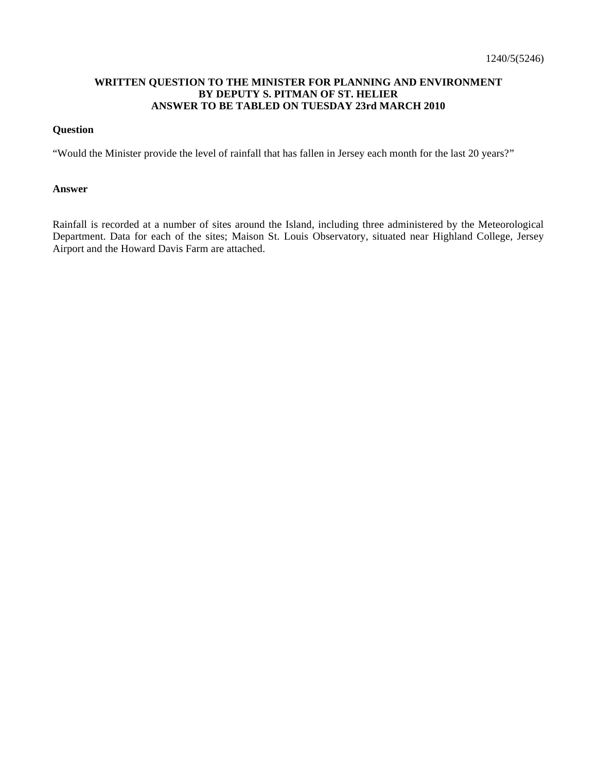### **WRITTEN QUESTION TO THE MINISTER FOR PLANNING AND ENVIRONMENT BY DEPUTY S. PITMAN OF ST. HELIER ANSWER TO BE TABLED ON TUESDAY 23rd MARCH 2010**

#### **Question**

"Would the Minister provide the level of rainfall that has fallen in Jersey each month for the last 20 years?"

#### **Answer**

Rainfall is recorded at a number of sites around the Island, including three administered by the Meteorological Department. Data for each of the sites; Maison St. Louis Observatory, situated near Highland College, Jersey Airport and the Howard Davis Farm are attached.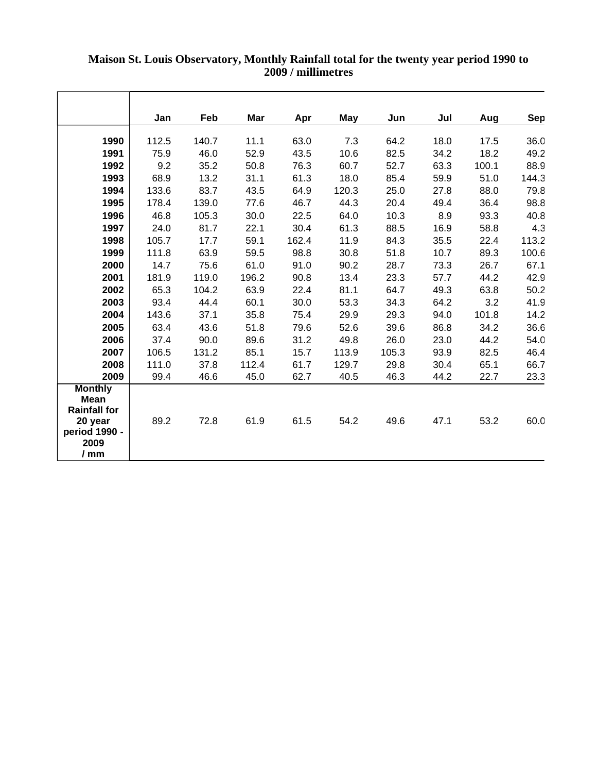|                                                          | Jan   | Feb   | Mar   | Apr   | May   | Jun   | Jul  | Aug   | Sep   |
|----------------------------------------------------------|-------|-------|-------|-------|-------|-------|------|-------|-------|
| 1990                                                     | 112.5 | 140.7 | 11.1  | 63.0  | 7.3   | 64.2  | 18.0 | 17.5  | 36.0  |
| 1991                                                     | 75.9  | 46.0  | 52.9  | 43.5  | 10.6  | 82.5  | 34.2 | 18.2  | 49.2  |
| 1992                                                     | 9.2   | 35.2  | 50.8  | 76.3  | 60.7  | 52.7  | 63.3 | 100.1 | 88.9  |
| 1993                                                     | 68.9  | 13.2  | 31.1  | 61.3  | 18.0  | 85.4  | 59.9 | 51.0  | 144.3 |
| 1994                                                     | 133.6 | 83.7  | 43.5  | 64.9  | 120.3 | 25.0  | 27.8 | 88.0  | 79.8  |
| 1995                                                     | 178.4 | 139.0 | 77.6  | 46.7  | 44.3  | 20.4  | 49.4 | 36.4  | 98.8  |
| 1996                                                     | 46.8  | 105.3 | 30.0  | 22.5  | 64.0  | 10.3  | 8.9  | 93.3  | 40.8  |
| 1997                                                     | 24.0  | 81.7  | 22.1  | 30.4  | 61.3  | 88.5  | 16.9 | 58.8  | 4.3   |
| 1998                                                     | 105.7 | 17.7  | 59.1  | 162.4 | 11.9  | 84.3  | 35.5 | 22.4  | 113.2 |
| 1999                                                     | 111.8 | 63.9  | 59.5  | 98.8  | 30.8  | 51.8  | 10.7 | 89.3  | 100.6 |
| 2000                                                     | 14.7  | 75.6  | 61.0  | 91.0  | 90.2  | 28.7  | 73.3 | 26.7  | 67.1  |
| 2001                                                     | 181.9 | 119.0 | 196.2 | 90.8  | 13.4  | 23.3  | 57.7 | 44.2  | 42.9  |
| 2002                                                     | 65.3  | 104.2 | 63.9  | 22.4  | 81.1  | 64.7  | 49.3 | 63.8  | 50.2  |
| 2003                                                     | 93.4  | 44.4  | 60.1  | 30.0  | 53.3  | 34.3  | 64.2 | 3.2   | 41.9  |
| 2004                                                     | 143.6 | 37.1  | 35.8  | 75.4  | 29.9  | 29.3  | 94.0 | 101.8 | 14.2  |
| 2005                                                     | 63.4  | 43.6  | 51.8  | 79.6  | 52.6  | 39.6  | 86.8 | 34.2  | 36.6  |
| 2006                                                     | 37.4  | 90.0  | 89.6  | 31.2  | 49.8  | 26.0  | 23.0 | 44.2  | 54.0  |
| 2007                                                     | 106.5 | 131.2 | 85.1  | 15.7  | 113.9 | 105.3 | 93.9 | 82.5  | 46.4  |
| 2008                                                     | 111.0 | 37.8  | 112.4 | 61.7  | 129.7 | 29.8  | 30.4 | 65.1  | 66.7  |
| 2009                                                     | 99.4  | 46.6  | 45.0  | 62.7  | 40.5  | 46.3  | 44.2 | 22.7  | 23.3  |
| <b>Monthly</b><br>Mean<br><b>Rainfall for</b><br>20 year | 89.2  | 72.8  | 61.9  | 61.5  | 54.2  | 49.6  | 47.1 | 53.2  | 60.0  |
| period 1990 -<br>2009<br>/ <sub>m</sub>                  |       |       |       |       |       |       |      |       |       |

# **Maison St. Louis Observatory, Monthly Rainfall total for the twenty year period 1990 to 2009 / millimetres**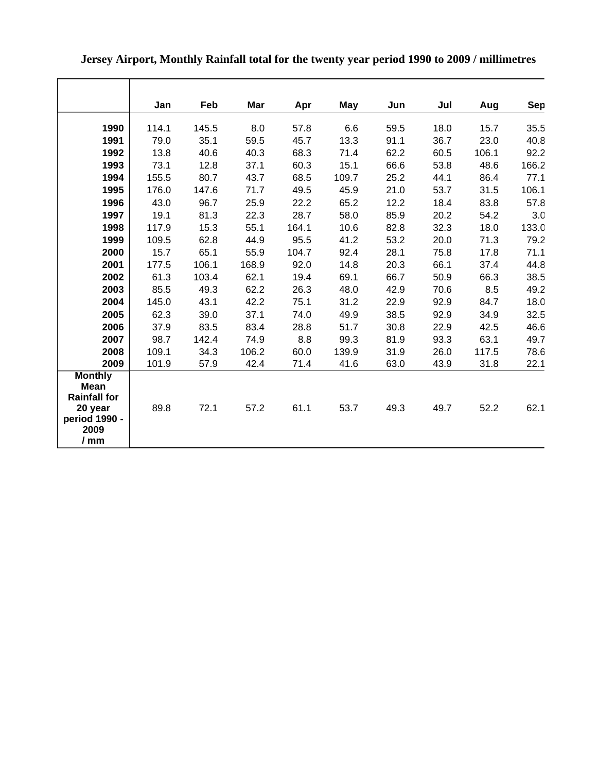|                                                      | Jan   | Feb   | Mar   | Apr   | <b>May</b> | Jun  | Jul  | Aug   | Sep   |
|------------------------------------------------------|-------|-------|-------|-------|------------|------|------|-------|-------|
| 1990                                                 | 114.1 | 145.5 | 8.0   | 57.8  | 6.6        | 59.5 | 18.0 | 15.7  | 35.5  |
| 1991                                                 | 79.0  | 35.1  | 59.5  | 45.7  | 13.3       | 91.1 | 36.7 | 23.0  | 40.8  |
| 1992                                                 | 13.8  | 40.6  | 40.3  | 68.3  | 71.4       | 62.2 | 60.5 | 106.1 | 92.2  |
| 1993                                                 | 73.1  | 12.8  | 37.1  | 60.3  | 15.1       | 66.6 | 53.8 | 48.6  | 166.2 |
| 1994                                                 | 155.5 | 80.7  | 43.7  | 68.5  | 109.7      | 25.2 | 44.1 | 86.4  | 77.1  |
| 1995                                                 | 176.0 | 147.6 | 71.7  | 49.5  | 45.9       | 21.0 | 53.7 | 31.5  | 106.1 |
| 1996                                                 | 43.0  | 96.7  | 25.9  | 22.2  | 65.2       | 12.2 | 18.4 | 83.8  | 57.8  |
| 1997                                                 | 19.1  | 81.3  | 22.3  | 28.7  | 58.0       | 85.9 | 20.2 | 54.2  | 3.0   |
| 1998                                                 | 117.9 | 15.3  | 55.1  | 164.1 | 10.6       | 82.8 | 32.3 | 18.0  | 133.0 |
| 1999                                                 | 109.5 | 62.8  | 44.9  | 95.5  | 41.2       | 53.2 | 20.0 | 71.3  | 79.2  |
| 2000                                                 | 15.7  | 65.1  | 55.9  | 104.7 | 92.4       | 28.1 | 75.8 | 17.8  | 71.1  |
| 2001                                                 | 177.5 | 106.1 | 168.9 | 92.0  | 14.8       | 20.3 | 66.1 | 37.4  | 44.8  |
| 2002                                                 | 61.3  | 103.4 | 62.1  | 19.4  | 69.1       | 66.7 | 50.9 | 66.3  | 38.5  |
| 2003                                                 | 85.5  | 49.3  | 62.2  | 26.3  | 48.0       | 42.9 | 70.6 | 8.5   | 49.2  |
| 2004                                                 | 145.0 | 43.1  | 42.2  | 75.1  | 31.2       | 22.9 | 92.9 | 84.7  | 18.0  |
| 2005                                                 | 62.3  | 39.0  | 37.1  | 74.0  | 49.9       | 38.5 | 92.9 | 34.9  | 32.5  |
| 2006                                                 | 37.9  | 83.5  | 83.4  | 28.8  | 51.7       | 30.8 | 22.9 | 42.5  | 46.6  |
| 2007                                                 | 98.7  | 142.4 | 74.9  | 8.8   | 99.3       | 81.9 | 93.3 | 63.1  | 49.7  |
| 2008                                                 | 109.1 | 34.3  | 106.2 | 60.0  | 139.9      | 31.9 | 26.0 | 117.5 | 78.6  |
| 2009                                                 | 101.9 | 57.9  | 42.4  | 71.4  | 41.6       | 63.0 | 43.9 | 31.8  | 22.1  |
| <b>Monthly</b><br><b>Mean</b><br><b>Rainfall for</b> |       |       |       |       |            |      |      |       |       |
| 20 year<br>period 1990 -<br>2009<br>/mm              | 89.8  | 72.1  | 57.2  | 61.1  | 53.7       | 49.3 | 49.7 | 52.2  | 62.1  |

# **Jersey Airport, Monthly Rainfall total for the twenty year period 1990 to 2009 / millimetres**